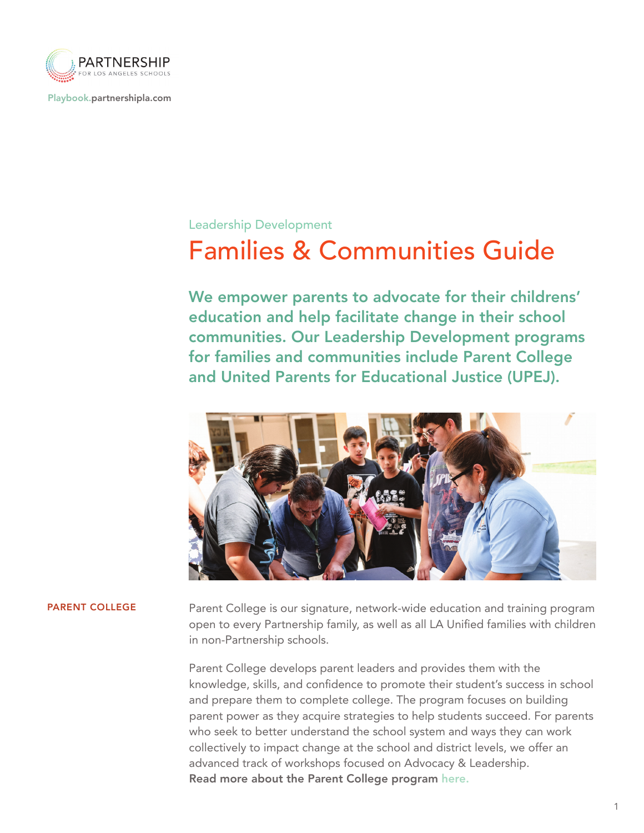

Playbook.partnershipla.com

## Leadership Development

## Families & Communities Guide

We empower parents to advocate for their childrens' education and help facilitate change in their school communities. Our Leadership Development programs for families and communities include Parent College and United Parents for Educational Justice (UPEJ).



**PARENT COLLEGE** Parent College is our signature, network-wide education and training program open to every Partnership family, as well as all LA Unified families with children in non-Partnership schools.

> Parent College develops parent leaders and provides them with the knowledge, skills, and confidence to promote their student's success in school and prepare them to complete college. The program focuses on building parent power as they acquire strategies to help students succeed. For parents who seek to better understand the school system and ways they can work collectively to impact change at the school and district levels, we offer an advanced track of workshops focused on Advocacy & Leadership. Read more about the Parent College program here.